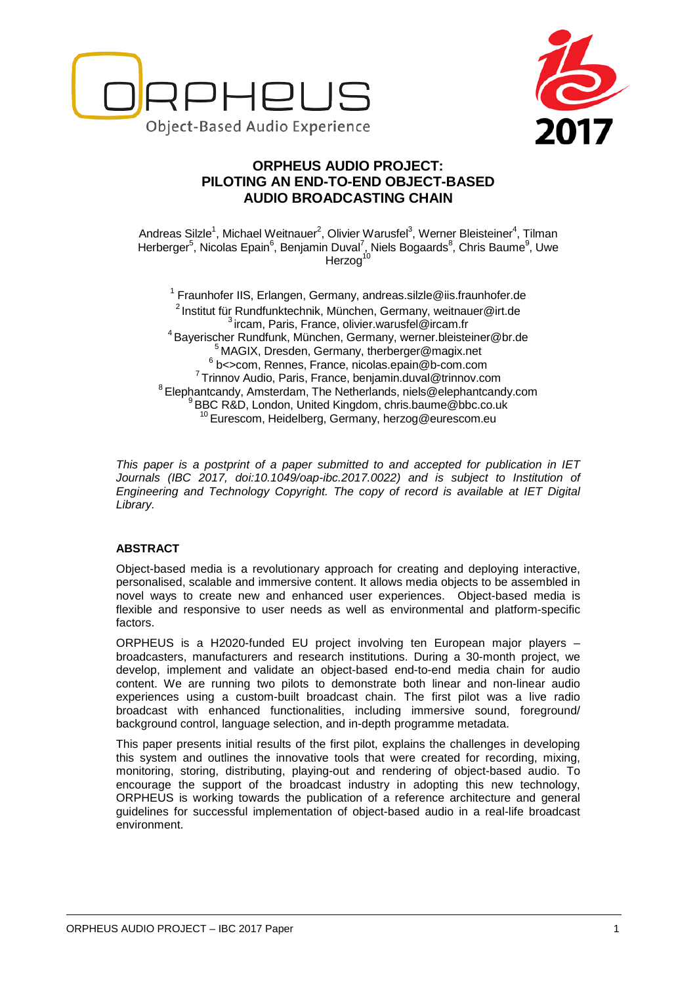



# **ORPHEUS AUDIO PROJECT: PILOTING AN END-TO-END OBJECT-BASED AUDIO BROADCASTING CHAIN**

Andreas Silzle<sup>1</sup>, Michael Weitnauer<sup>2</sup>, Olivier Warusfel<sup>3</sup>, Werner Bleisteiner<sup>4</sup>, Tilman Herberger<sup>5</sup>, Nicolas Epain<sup>6</sup>, Benjamin Duval<sup>7</sup>, Niels Bogaards<sup>8</sup>, Chris Baume<sup>9</sup>, Uwe Herzog<sup>10</sup>

 $1$  Fraunhofer IIS, Erlangen, Germany, andreas.silzle@iis.fraunhofer.de <sup>2</sup> Institut für Rundfunktechnik, München, Germany, weitnauer@irt.de<br> $3$  ircam, Paris, France, olivier.warusfel@ircam.fr<br><sup>4</sup> Bayerischer Rundfunk, München, Germany, werner.bleisteiner@br.de <sup>5</sup> MAGIX, Dresden, Germany, therberger@magix.net<br>
<sup>6</sup> b<>com, Rennes, France, [nicolas.epain@b-com.com](mailto:nicolas.epain@b-com.com)<br>
<sup>7</sup> Trinnov Audio, Paris, France, benjamin.duval@trinnov.com<br>
<sup>8</sup> Elephantcandy, Amsterdam, The Netherlands, niels@el <sup>10</sup> Eurescom, Heidelberg, Germany, herzog@eurescom.eu

*This paper is a postprint of a paper submitted to and accepted for publication in IET Journals (IBC 2017, doi:10.1049/oap-ibc.2017.0022) and is subject to Institution of Engineering and Technology Copyright. The copy of record is available at IET Digital Library.*

## **ABSTRACT**

Object-based media is a revolutionary approach for creating and deploying interactive, personalised, scalable and immersive content. It allows media objects to be assembled in novel ways to create new and enhanced user experiences. Object-based media is flexible and responsive to user needs as well as environmental and platform-specific factors.

ORPHEUS is a H2020-funded EU project involving ten European major players – broadcasters, manufacturers and research institutions. During a 30-month project, we develop, implement and validate an object-based end-to-end media chain for audio content. We are running two pilots to demonstrate both linear and non-linear audio experiences using a custom-built broadcast chain. The first pilot was a live radio broadcast with enhanced functionalities, including immersive sound, foreground/ background control, language selection, and in-depth programme metadata.

This paper presents initial results of the first pilot, explains the challenges in developing this system and outlines the innovative tools that were created for recording, mixing, monitoring, storing, distributing, playing-out and rendering of object-based audio. To encourage the support of the broadcast industry in adopting this new technology, ORPHEUS is working towards the publication of a reference architecture and general guidelines for successful implementation of object-based audio in a real-life broadcast environment.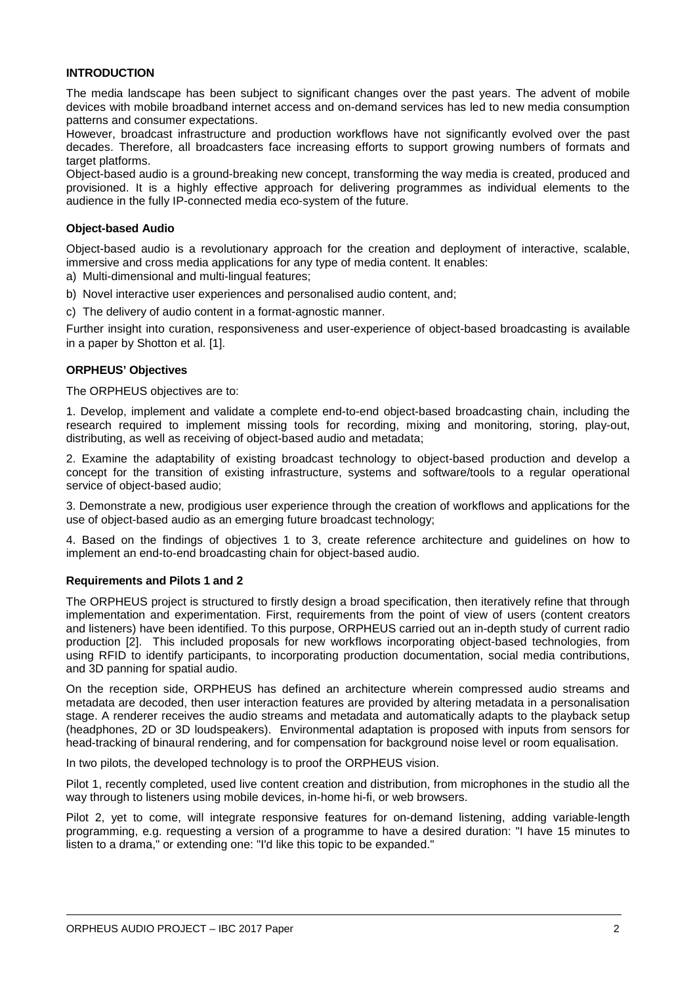### **INTRODUCTION**

The media landscape has been subject to significant changes over the past years. The advent of mobile devices with mobile broadband internet access and on-demand services has led to new media consumption patterns and consumer expectations.

However, broadcast infrastructure and production workflows have not significantly evolved over the past decades. Therefore, all broadcasters face increasing efforts to support growing numbers of formats and target platforms.

Object-based audio is a ground-breaking new concept, transforming the way media is created, produced and provisioned. It is a highly effective approach for delivering programmes as individual elements to the audience in the fully IP-connected media eco-system of the future.

### **Object-based Audio**

Object-based audio is a revolutionary approach for the creation and deployment of interactive, scalable, immersive and cross media applications for any type of media content. It enables:

a) Multi-dimensional and multi-lingual features;

b) Novel interactive user experiences and personalised audio content, and;

c) The delivery of audio content in a format-agnostic manner.

Further insight into curation, responsiveness and user-experience of object-based broadcasting is available in a paper by Shotton et al. [1].

### **ORPHEUS' Objectives**

The ORPHEUS objectives are to:

1. Develop, implement and validate a complete end-to-end object-based broadcasting chain, including the research required to implement missing tools for recording, mixing and monitoring, storing, play-out, distributing, as well as receiving of object-based audio and metadata;

2. Examine the adaptability of existing broadcast technology to object-based production and develop a concept for the transition of existing infrastructure, systems and software/tools to a regular operational service of object-based audio;

3. Demonstrate a new, prodigious user experience through the creation of workflows and applications for the use of object-based audio as an emerging future broadcast technology;

4. Based on the findings of objectives 1 to 3, create reference architecture and guidelines on how to implement an end-to-end broadcasting chain for object-based audio.

## **Requirements and Pilots 1 and 2**

The ORPHEUS project is structured to firstly design a broad specification, then iteratively refine that through implementation and experimentation. First, requirements from the point of view of users (content creators and listeners) have been identified. To this purpose, ORPHEUS carried out an in-depth study of current radio production [2]. This included proposals for new workflows incorporating object-based technologies, from using RFID to identify participants, to incorporating production documentation, social media contributions, and 3D panning for spatial audio.

On the reception side, ORPHEUS has defined an architecture wherein compressed audio streams and metadata are decoded, then user interaction features are provided by altering metadata in a personalisation stage. A renderer receives the audio streams and metadata and automatically adapts to the playback setup (headphones, 2D or 3D loudspeakers). Environmental adaptation is proposed with inputs from sensors for head-tracking of binaural rendering, and for compensation for background noise level or room equalisation.

In two pilots, the developed technology is to proof the ORPHEUS vision.

Pilot 1, recently completed, used live content creation and distribution, from microphones in the studio all the way through to listeners using mobile devices, in-home hi-fi, or web browsers.

Pilot 2, yet to come, will integrate responsive features for on-demand listening, adding variable-length programming, e.g. requesting a version of a programme to have a desired duration: "I have 15 minutes to listen to a drama," or extending one: "I'd like this topic to be expanded."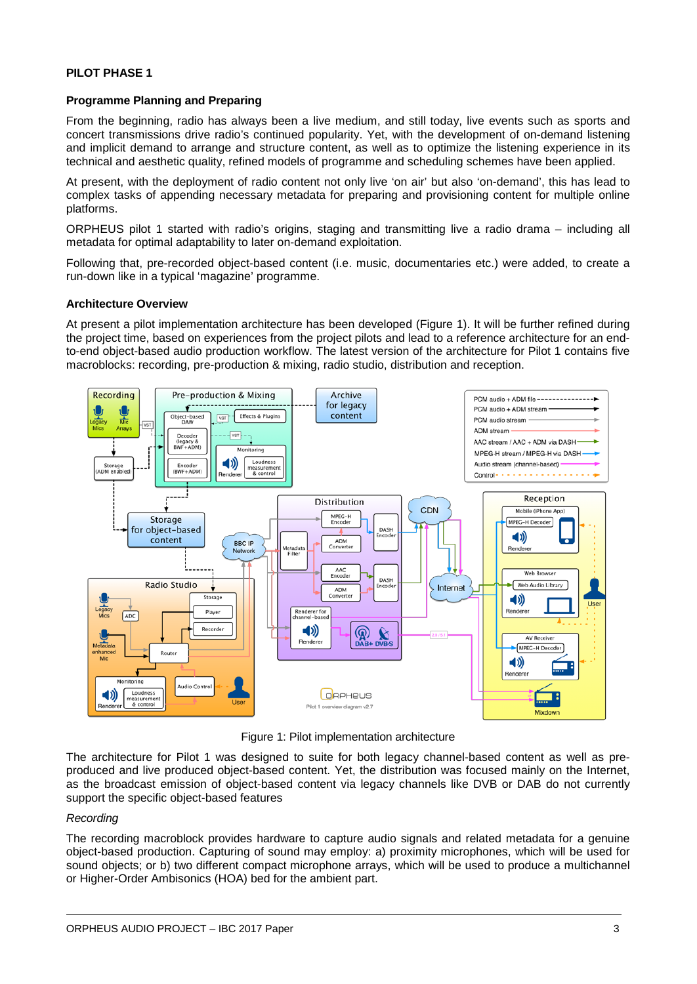### **Programme Planning and Preparing**

From the beginning, radio has always been a live medium, and still today, live events such as sports and concert transmissions drive radio's continued popularity. Yet, with the development of on-demand listening and implicit demand to arrange and structure content, as well as to optimize the listening experience in its technical and aesthetic quality, refined models of programme and scheduling schemes have been applied.

At present, with the deployment of radio content not only live 'on air' but also 'on-demand', this has lead to complex tasks of appending necessary metadata for preparing and provisioning content for multiple online platforms.

ORPHEUS pilot 1 started with radio's origins, staging and transmitting live a radio drama – including all metadata for optimal adaptability to later on-demand exploitation.

Following that, pre-recorded object-based content (i.e. music, documentaries etc.) were added, to create a run-down like in a typical 'magazine' programme.

### **Architecture Overview**

At present a pilot implementation architecture has been developed (Figure 1). It will be further refined during the project time, based on experiences from the project pilots and lead to a reference architecture for an endto-end object-based audio production workflow. The latest version of the architecture for Pilot 1 contains five macroblocks: recording, pre-production & mixing, radio studio, distribution and reception.



Figure 1: Pilot implementation architecture

The architecture for Pilot 1 was designed to suite for both legacy channel-based content as well as preproduced and live produced object-based content. Yet, the distribution was focused mainly on the Internet, as the broadcast emission of object-based content via legacy channels like DVB or DAB do not currently support the specific object-based features

#### *Recording*

The recording macroblock provides hardware to capture audio signals and related metadata for a genuine object-based production. Capturing of sound may employ: a) proximity microphones, which will be used for sound objects; or b) two different compact microphone arrays, which will be used to produce a multichannel or Higher-Order Ambisonics (HOA) bed for the ambient part.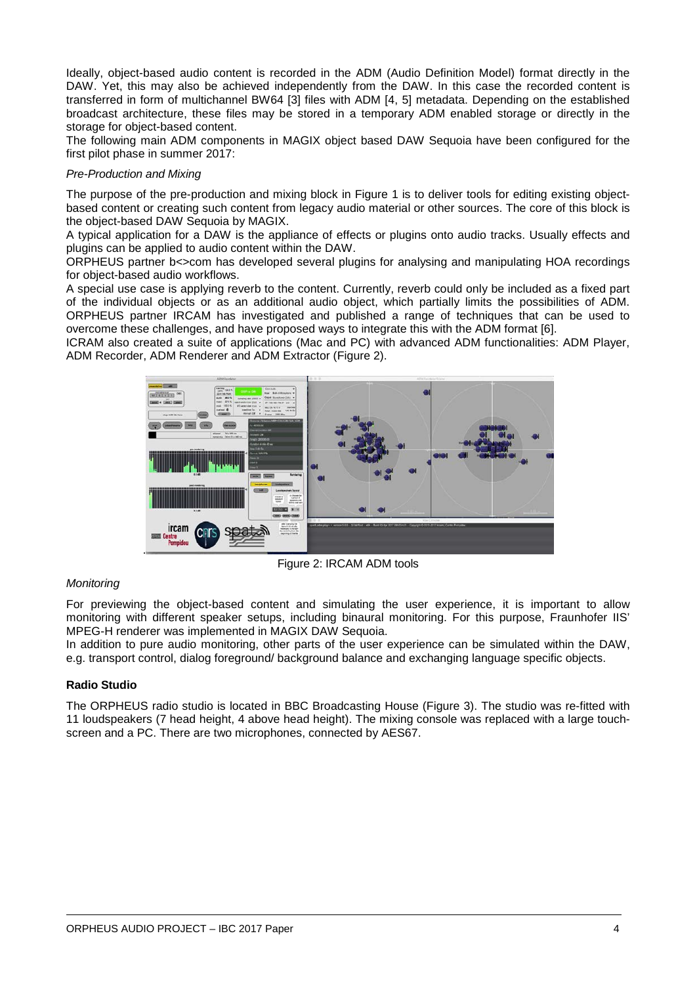Ideally, object-based audio content is recorded in the ADM (Audio Definition Model) format directly in the DAW. Yet, this may also be achieved independently from the DAW. In this case the recorded content is transferred in form of multichannel BW64 [3] files with ADM [4, 5] metadata. Depending on the established broadcast architecture, these files may be stored in a temporary ADM enabled storage or directly in the storage for object-based content.

The following main ADM components in MAGIX object based DAW Sequoia have been configured for the first pilot phase in summer 2017:

### *Pre-Production and Mixing*

The purpose of the pre-production and mixing block in Figure 1 is to deliver tools for editing existing objectbased content or creating such content from legacy audio material or other sources. The core of this block is the object-based DAW Sequoia by MAGIX.

A typical application for a DAW is the appliance of effects or plugins onto audio tracks. Usually effects and plugins can be applied to audio content within the DAW.

ORPHEUS partner b<>com has developed several plugins for analysing and manipulating HOA recordings for object-based audio workflows.

A special use case is applying reverb to the content. Currently, reverb could only be included as a fixed part of the individual objects or as an additional audio object, which partially limits the possibilities of ADM. ORPHEUS partner IRCAM has investigated and published a range of techniques that can be used to overcome these challenges, and have proposed ways to integrate this with the ADM format [6].

ICRAM also created a suite of applications (Mac and PC) with advanced ADM functionalities: ADM Player, ADM Recorder, ADM Renderer and ADM Extractor (Figure 2).



Figure 2: IRCAM ADM tools

## *Monitoring*

For previewing the object-based content and simulating the user experience, it is important to allow monitoring with different speaker setups, including binaural monitoring. For this purpose, Fraunhofer IIS' MPEG-H renderer was implemented in MAGIX DAW Sequoia.

In addition to pure audio monitoring, other parts of the user experience can be simulated within the DAW, e.g. transport control, dialog foreground/ background balance and exchanging language specific objects.

## **Radio Studio**

The ORPHEUS radio studio is located in BBC Broadcasting House (Figure 3). The studio was re-fitted with 11 loudspeakers (7 head height, 4 above head height). The mixing console was replaced with a large touchscreen and a PC. There are two microphones, connected by AES67.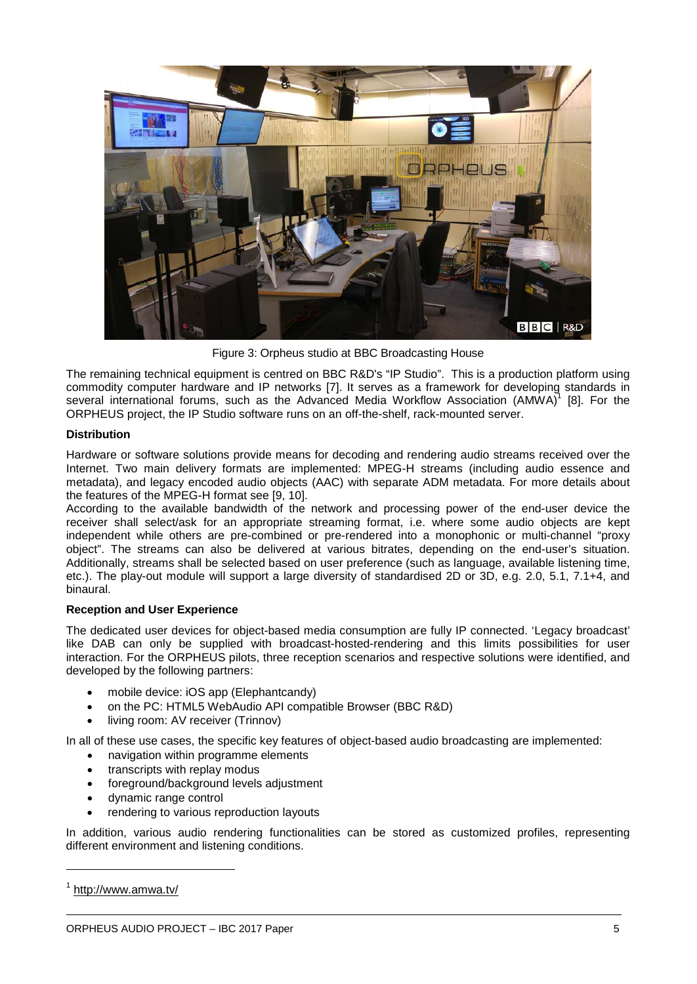

Figure 3: Orpheus studio at BBC Broadcasting House

The remaining technical equipment is centred on BBC R&D's "IP Studio". This is a production platform using commodity computer hardware and IP networks [7]. It serves as a framework for developing standards in several international forums, such as the Advanced Media Workflow Association (AMWA)<sup>1</sup> [8]. For the ORPHEUS project, the IP Studio software runs on an off-the-shelf, rack-mounted server.

## **Distribution**

Hardware or software solutions provide means for decoding and rendering audio streams received over the Internet. Two main delivery formats are implemented: MPEG-H streams (including audio essence and metadata), and legacy encoded audio objects (AAC) with separate ADM metadata. For more details about the features of the MPEG-H format see [9, 10].

According to the available bandwidth of the network and processing power of the end-user device the receiver shall select/ask for an appropriate streaming format, i.e. where some audio objects are kept independent while others are pre-combined or pre-rendered into a monophonic or multi-channel "proxy object". The streams can also be delivered at various bitrates, depending on the end-user's situation. Additionally, streams shall be selected based on user preference (such as language, available listening time, etc.). The play-out module will support a large diversity of standardised 2D or 3D, e.g. 2.0, 5.1, 7.1+4, and binaural.

## **Reception and User Experience**

The dedicated user devices for object-based media consumption are fully IP connected. 'Legacy broadcast' like DAB can only be supplied with broadcast-hosted-rendering and this limits possibilities for user interaction. For the ORPHEUS pilots, three reception scenarios and respective solutions were identified, and developed by the following partners:

- mobile device: iOS app (Elephantcandy)
- on the PC: HTML5 WebAudio API compatible Browser (BBC R&D)
- living room: AV receiver (Trinnov)

In all of these use cases, the specific key features of object-based audio broadcasting are implemented:

- navigation within programme elements
- transcripts with replay modus
- foreground/background levels adjustment
- dynamic range control
- rendering to various reproduction layouts

In addition, various audio rendering functionalities can be stored as customized profiles, representing different environment and listening conditions.

-

<sup>1</sup> <http://www.amwa.tv/>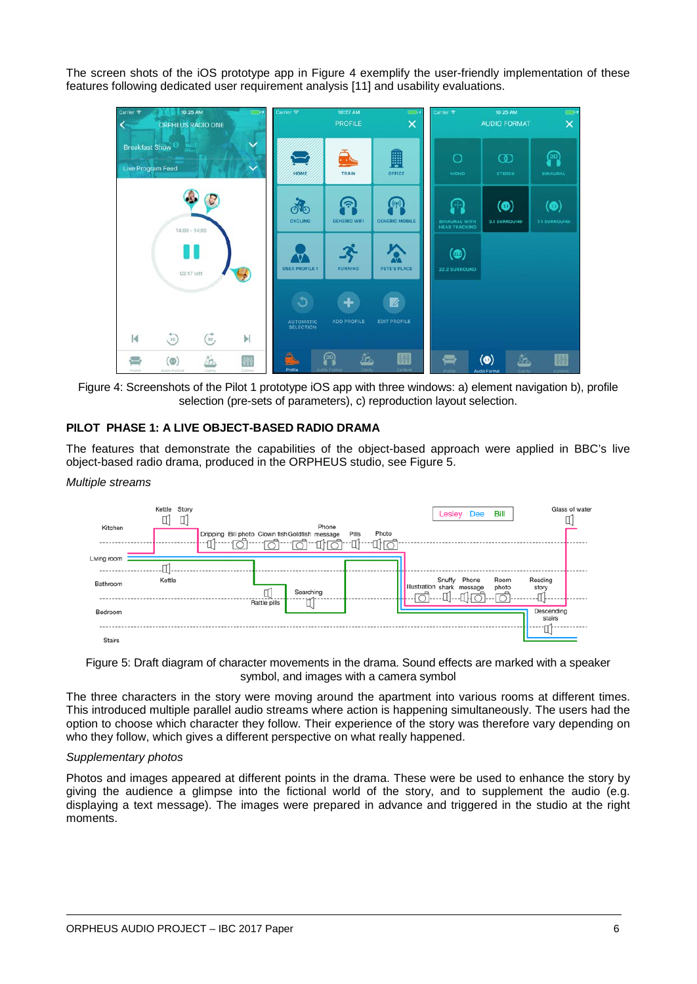The screen shots of the iOS prototype app in Figure 4 exemplify the user-friendly implementation of these features following dedicated user requirement analysis [11] and usability evaluations.



Figure 4: Screenshots of the Pilot 1 prototype iOS app with three windows: a) element navigation b), profile selection (pre-sets of parameters), c) reproduction layout selection.

## **PILOT PHASE 1: A LIVE OBJECT-BASED RADIO DRAMA**

The features that demonstrate the capabilities of the object-based approach were applied in BBC's live object-based radio drama, produced in the ORPHEUS studio, see Figure 5.

#### *Multiple streams*

| Kitchen       | Kettle<br>Story | Dripping Bill photo Clown fish Goldfish message | Phone     | Photo<br>Pills | Lesley                               | Dee   | Bill          |                      | Glass of water |
|---------------|-----------------|-------------------------------------------------|-----------|----------------|--------------------------------------|-------|---------------|----------------------|----------------|
| Living room   |                 |                                                 |           |                |                                      |       |               |                      |                |
| Bathroom      | Kettle          | Rattle pills                                    | Searching |                | Snuffy<br>Illustration shark message | Phone | Room<br>photo | Reading<br>story     |                |
| Bedroom       |                 |                                                 |           |                |                                      |       |               | Descending<br>stairs |                |
| <b>Stairs</b> |                 |                                                 |           |                |                                      |       |               |                      |                |

Figure 5: Draft diagram of character movements in the drama. Sound effects are marked with a speaker symbol, and images with a camera symbol

The three characters in the story were moving around the apartment into various rooms at different times. This introduced multiple parallel audio streams where action is happening simultaneously. The users had the option to choose which character they follow. Their experience of the story was therefore vary depending on who they follow, which gives a different perspective on what really happened.

#### *Supplementary photos*

Photos and images appeared at different points in the drama. These were be used to enhance the story by giving the audience a glimpse into the fictional world of the story, and to supplement the audio (e.g. displaying a text message). The images were prepared in advance and triggered in the studio at the right moments.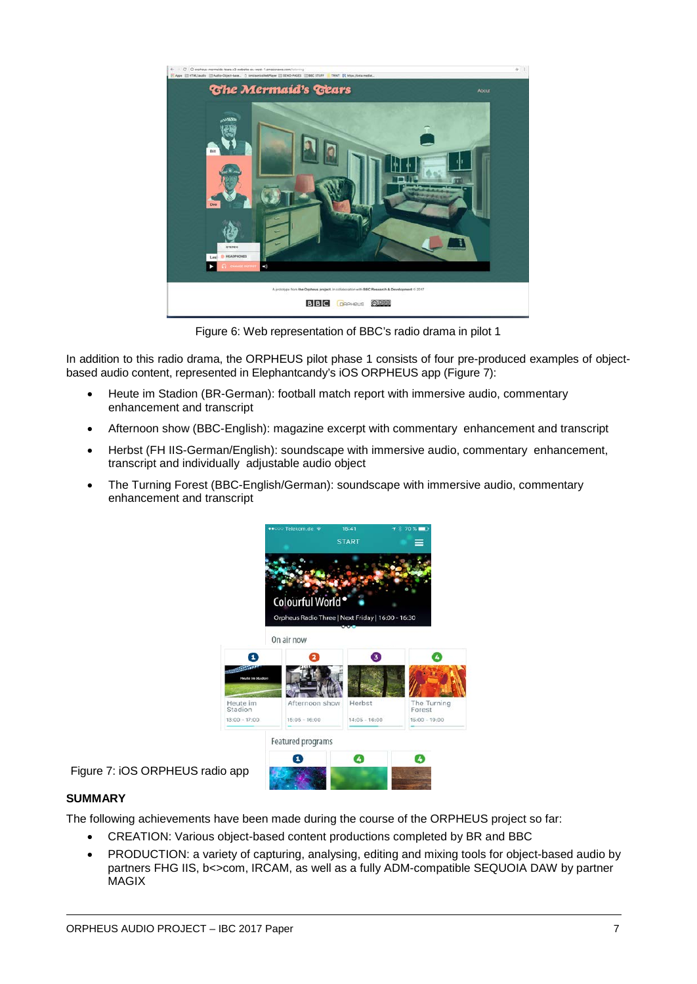

Figure 6: Web representation of BBC's radio drama in pilot 1

In addition to this radio drama, the ORPHEUS pilot phase 1 consists of four pre-produced examples of objectbased audio content, represented in Elephantcandy's iOS ORPHEUS app (Figure 7):

- Heute im Stadion (BR-German): football match report with immersive audio, commentary enhancement and transcript
- Afternoon show (BBC-English): magazine excerpt with commentary enhancement and transcript
- Herbst (FH IIS-German/English): soundscape with immersive audio, commentary enhancement, transcript and individually adjustable audio object
- The Turning Forest (BBC-English/German): soundscape with immersive audio, commentary enhancement and transcript



Figure 7: iOS ORPHEUS radio app

## **SUMMARY**

The following achievements have been made during the course of the ORPHEUS project so far:

- CREATION: Various object-based content productions completed by BR and BBC
- PRODUCTION: a variety of capturing, analysing, editing and mixing tools for object-based audio by partners FHG IIS, b<>com, IRCAM, as well as a fully ADM-compatible SEQUOIA DAW by partner **MAGIX**